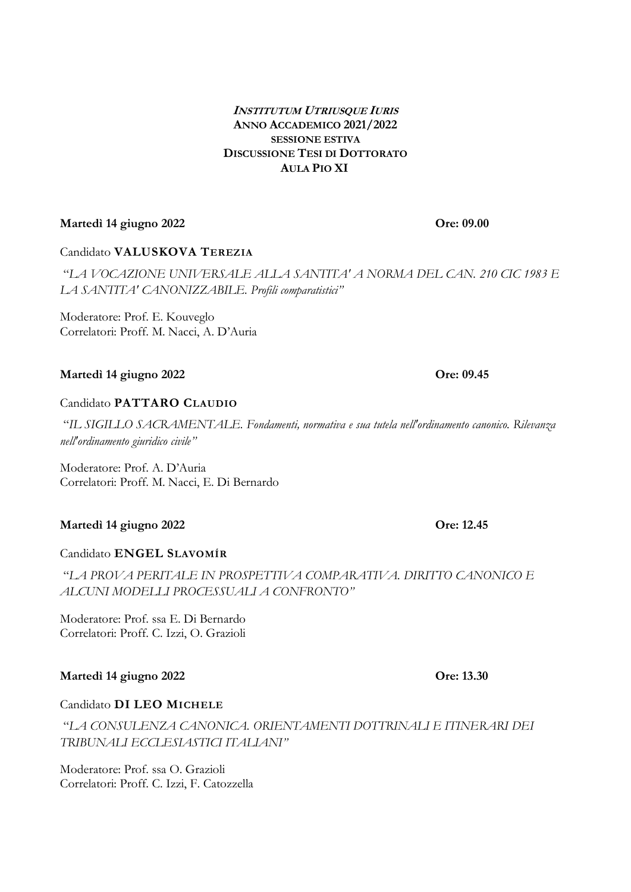#### **INSTITUTUM UTRIUSQUE IURIS ANNO ACCADEMICO 2021/2022 SESSIONE ESTIVA DISCUSSIONE TESI DI DOTTORATO AULA PIO XI**

# **Martedì 14 giugno 2022 Ore: 09.00**

### Candidato **VALUSKOVA TEREZIA**

"*LA VOCAZIONE UNIVERSALE ALLA SANTITA' A NORMA DEL CAN. 210 CIC 1983 E LA SANTITA' CANONIZZABILE. Profili comparatistici"*

Moderatore: Prof. E. Kouveglo Correlatori: Proff. M. Nacci, A. D'Auria

# **Martedì 14 giugno 2022 Ore: 09.45**

### Candidato **PATTARO CLAUDIO**

"*IL SIGILLO SACRAMENTALE. Fondamenti, normativa e sua tutela nell'ordinamento canonico. Rilevanza nell'ordinamento giuridico civile"*

Moderatore: Prof. A. D'Auria Correlatori: Proff. M. Nacci, E. Di Bernardo

# **Martedì 14 giugno 2022 Ore: 12.45**

#### Candidato **ENGEL SLAVOMÍR**

"*LA PROVA PERITALE IN PROSPETTIVA COMPARATIVA. DIRITTO CANONICO E ALCUNI MODELLI PROCESSUALI A CONFRONTO"*

Moderatore: Prof. ssa E. Di Bernardo Correlatori: Proff. C. Izzi, O. Grazioli

#### **Martedì 14 giugno 2022 Ore: 13.30**

#### Candidato **DI LEO MICHELE**

"*LA CONSULENZA CANONICA. ORIENTAMENTI DOTTRINALI E ITINERARI DEI TRIBUNALI ECCLESIASTICI ITALIANI"*

Moderatore: Prof. ssa O. Grazioli Correlatori: Proff. C. Izzi, F. Catozzella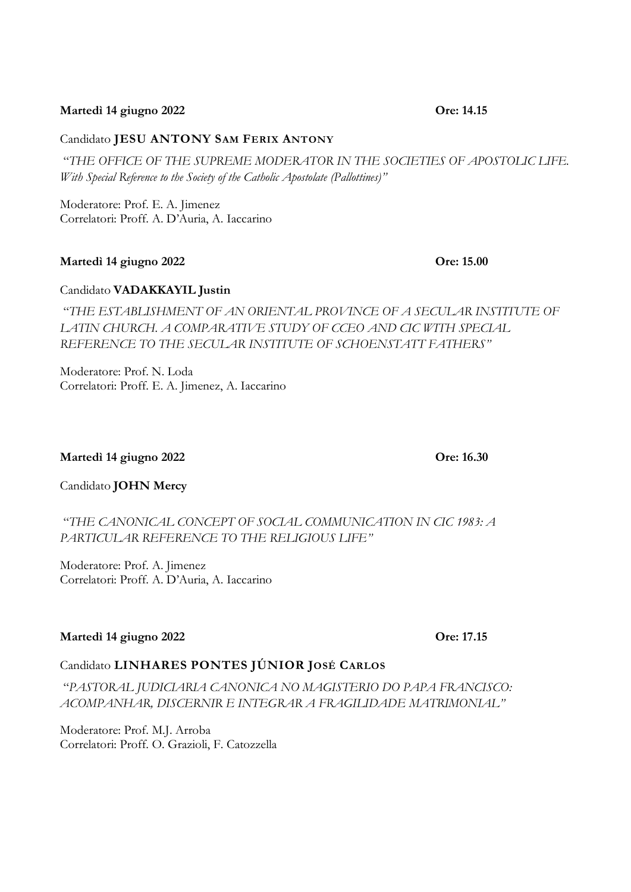#### **Martedì 14 giugno 2022 Ore: 14.15**

#### Candidato **JESU ANTONY SAM FERIX ANTONY**

"*THE OFFICE OF THE SUPREME MODERATOR IN THE SOCIETIES OF APOSTOLIC LIFE. With Special Reference to the Society of the Catholic Apostolate (Pallottines)"*

Moderatore: Prof. E. A. Jimenez Correlatori: Proff. A. D'Auria, A. Iaccarino

#### **Martedì 14 giugno 2022 Ore: 15.00**

### Candidato **VADAKKAYIL Justin**

"*THE ESTABLISHMENT OF AN ORIENTAL PROVINCE OF A SECULAR INSTITUTE OF LATIN CHURCH. A COMPARATIVE STUDY OF CCEO AND CIC WITH SPECIAL REFERENCE TO THE SECULAR INSTITUTE OF SCHOENSTATT FATHERS"*

Moderatore: Prof. N. Loda Correlatori: Proff. E. A. Jimenez, A. Iaccarino

#### **Martedì 14 giugno 2022 Ore: 16.30**

Candidato **JOHN Mercy**

# "*THE CANONICAL CONCEPT OF SOCIAL COMMUNICATION IN CIC 1983: A PARTICULAR REFERENCE TO THE RELIGIOUS LIFE"*

Moderatore: Prof. A. Jimenez Correlatori: Proff. A. D'Auria, A. Iaccarino

#### **Martedì 14 giugno 2022 Ore: 17.15**

# Candidato **LINHARES PONTES JÚNIOR JOSÉ CARLOS**

"*PASTORAL JUDICIARIA CANONICA NO MAGISTERIO DO PAPA FRANCISCO: ACOMPANHAR, DISCERNIR E INTEGRAR A FRAGILIDADE MATRIMONIAL"*

Moderatore: Prof. M.J. Arroba Correlatori: Proff. O. Grazioli, F. Catozzella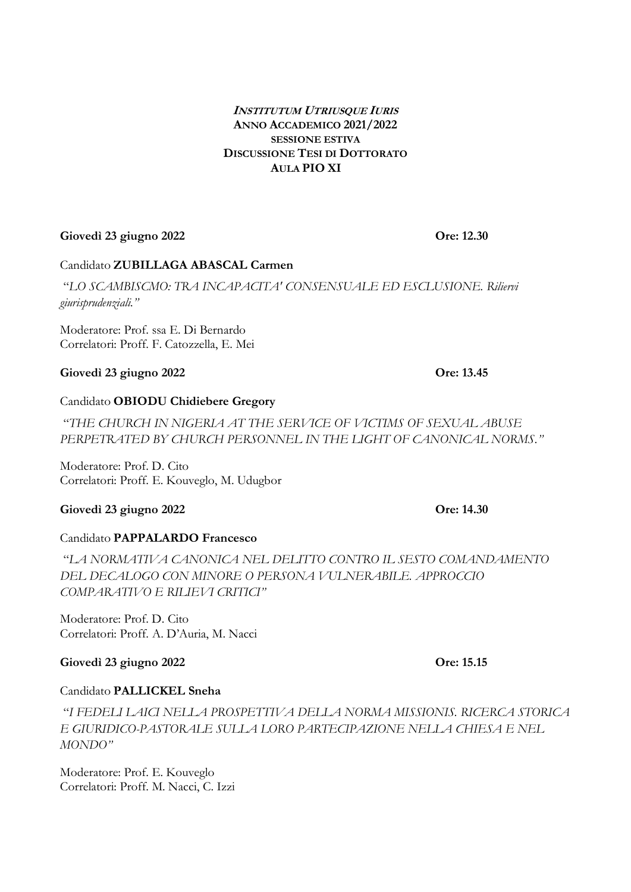#### **INSTITUTUM UTRIUSQUE IURIS ANNO ACCADEMICO 2021/2022 SESSIONE ESTIVA DISCUSSIONE TESI DI DOTTORATO AULA PIO XI**

# **Giovedì 23 giugno 2022 Ore: 12.30**

# Candidato **ZUBILLAGA ABASCAL Carmen**

"*LO SCAMBISCMO: TRA INCAPACITA' CONSENSUALE ED ESCLUSIONE. Riliervi giurisprudenziali."*

Moderatore: Prof. ssa E. Di Bernardo Correlatori: Proff. F. Catozzella, E. Mei

# **Giovedì 23 giugno 2022 Ore: 13.45**

#### Candidato **OBIODU Chidiebere Gregory**

"*THE CHURCH IN NIGERIA AT THE SERVICE OF VICTIMS OF SEXUAL ABUSE PERPETRATED BY CHURCH PERSONNEL IN THE LIGHT OF CANONICAL NORMS."*

Moderatore: Prof. D. Cito Correlatori: Proff. E. Kouveglo, M. Udugbor

# **Giovedì 23 giugno 2022 Ore: 14.30**

# Candidato **PAPPALARDO Francesco**

"*LA NORMATIVA CANONICA NEL DELITTO CONTRO IL SESTO COMANDAMENTO DEL DECALOGO CON MINORE O PERSONA VULNERABILE. APPROCCIO COMPARATIVO E RILIEVI CRITICI"*

Moderatore: Prof. D. Cito Correlatori: Proff. A. D'Auria, M. Nacci

# **Giovedì 23 giugno 2022 Ore: 15.15**

# Candidato **PALLICKEL Sneha**

"*I FEDELI LAICI NELLA PROSPETTIVA DELLA NORMA MISSIONIS. RICERCA STORICA E GIURIDICO-PASTORALE SULLA LORO PARTECIPAZIONE NELLA CHIESA E NEL MONDO"*

Moderatore: Prof. E. Kouveglo Correlatori: Proff. M. Nacci, C. Izzi